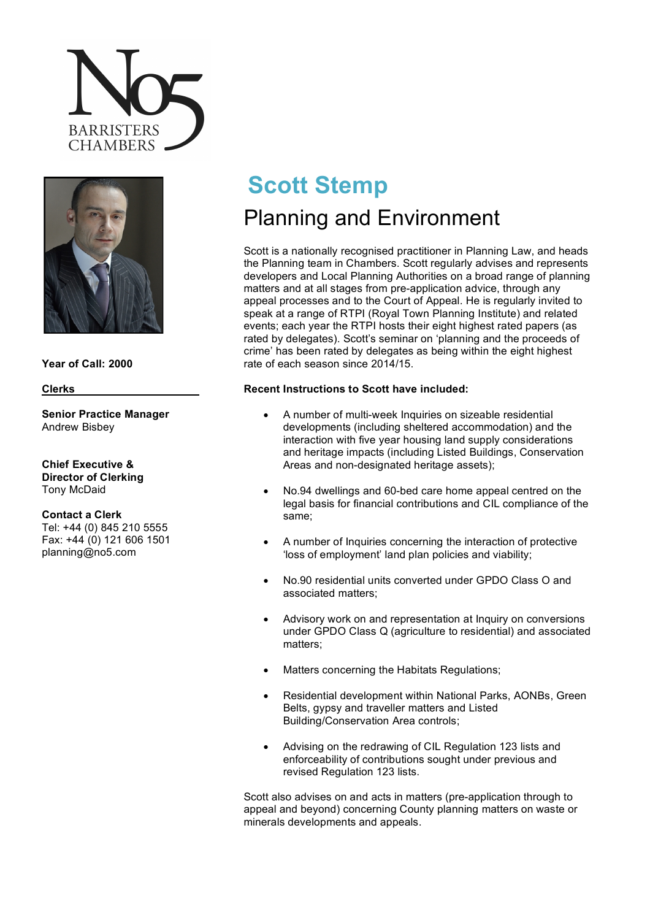



# **Year of Call: 2000**

#### **Clerks**

**Senior Practice Manager** Andrew Bisbey

**Chief Executive & Director of Clerking** Tony McDaid

**Contact a Clerk** Tel: +44 (0) 845 210 5555 Fax: +44 (0) 121 606 1501 planning@no5.com

# **Scott Stemp**

# Planning and Environment

Scott is a nationally recognised practitioner in Planning Law, and heads the Planning team in Chambers. Scott regularly advises and represents developers and Local Planning Authorities on a broad range of planning matters and at all stages from pre-application advice, through any appeal processes and to the Court of Appeal. He is regularly invited to speak at a range of RTPI (Royal Town Planning Institute) and related events; each year the RTPI hosts their eight highest rated papers (as rated by delegates). Scott's seminar on 'planning and the proceeds of crime' has been rated by delegates as being within the eight highest rate of each season since 2014/15.

## **Recent Instructions to Scott have included:**

- A number of multi-week Inquiries on sizeable residential developments (including sheltered accommodation) and the interaction with five year housing land supply considerations and heritage impacts (including Listed Buildings, Conservation Areas and non-designated heritage assets);
- No.94 dwellings and 60-bed care home appeal centred on the legal basis for financial contributions and CIL compliance of the same;
- A number of Inquiries concerning the interaction of protective 'loss of employment' land plan policies and viability;
- No.90 residential units converted under GPDO Class O and associated matters;
- Advisory work on and representation at Inquiry on conversions under GPDO Class Q (agriculture to residential) and associated matters;
- Matters concerning the Habitats Regulations;
- Residential development within National Parks, AONBs, Green Belts, gypsy and traveller matters and Listed Building/Conservation Area controls;
- Advising on the redrawing of CIL Regulation 123 lists and enforceability of contributions sought under previous and revised Regulation 123 lists.

Scott also advises on and acts in matters (pre-application through to appeal and beyond) concerning County planning matters on waste or minerals developments and appeals.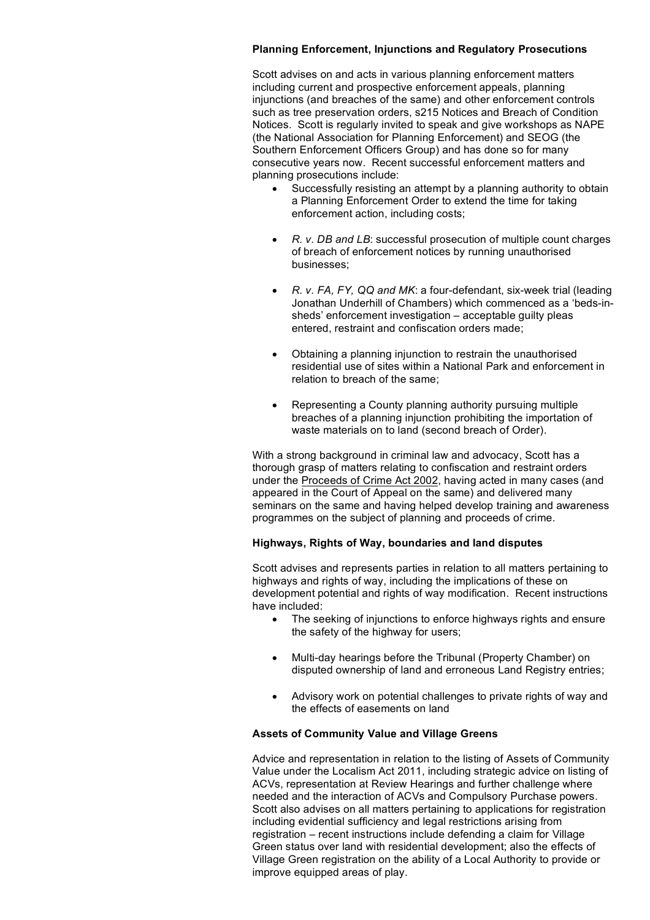#### **Planning Enforcement, Injunctions and Regulatory Prosecutions**

Scott advises on and acts in various planning enforcement matters including current and prospective enforcement appeals, planning injunctions (and breaches of the same) and other enforcement controls such as tree preservation orders, s215 Notices and Breach of Condition Notices. Scott is regularly invited to speak and give workshops as NAPE (the National Association for Planning Enforcement) and SEOG (the Southern Enforcement Officers Group) and has done so for many consecutive years now. Recent successful enforcement matters and planning prosecutions include:

- Successfully resisting an attempt by a planning authority to obtain a Planning Enforcement Order to extend the time for taking enforcement action, including costs;
- *R. v. DB and LB*: successful prosecution of multiple count charges of breach of enforcement notices by running unauthorised businesses;
- *R. v. FA, FY, QQ and MK*: a four-defendant, six-week trial (leading Jonathan Underhill of Chambers) which commenced as a 'beds-insheds' enforcement investigation – acceptable guilty pleas entered, restraint and confiscation orders made;
- Obtaining a planning injunction to restrain the unauthorised residential use of sites within a National Park and enforcement in relation to breach of the same;
- Representing a County planning authority pursuing multiple breaches of a planning injunction prohibiting the importation of waste materials on to land (second breach of Order).

With a strong background in criminal law and advocacy, Scott has a thorough grasp of matters relating to confiscation and restraint orders under the Proceeds of Crime Act 2002, having acted in many cases (and appeared in the Court of Appeal on the same) and delivered many seminars on the same and having helped develop training and awareness programmes on the subject of planning and proceeds of crime.

### **Highways, Rights of Way, boundaries and land disputes**

Scott advises and represents parties in relation to all matters pertaining to highways and rights of way, including the implications of these on development potential and rights of way modification. Recent instructions have included:

- The seeking of injunctions to enforce highways rights and ensure the safety of the highway for users;
- Multi-day hearings before the Tribunal (Property Chamber) on disputed ownership of land and erroneous Land Registry entries;
- Advisory work on potential challenges to private rights of way and the effects of easements on land

#### **Assets of Community Value and Village Greens**

Advice and representation in relation to the listing of Assets of Community Value under the Localism Act 2011, including strategic advice on listing of ACVs, representation at Review Hearings and further challenge where needed and the interaction of ACVs and Compulsory Purchase powers. Scott also advises on all matters pertaining to applications for registration including evidential sufficiency and legal restrictions arising from registration – recent instructions include defending a claim for Village Green status over land with residential development; also the effects of Village Green registration on the ability of a Local Authority to provide or improve equipped areas of play.